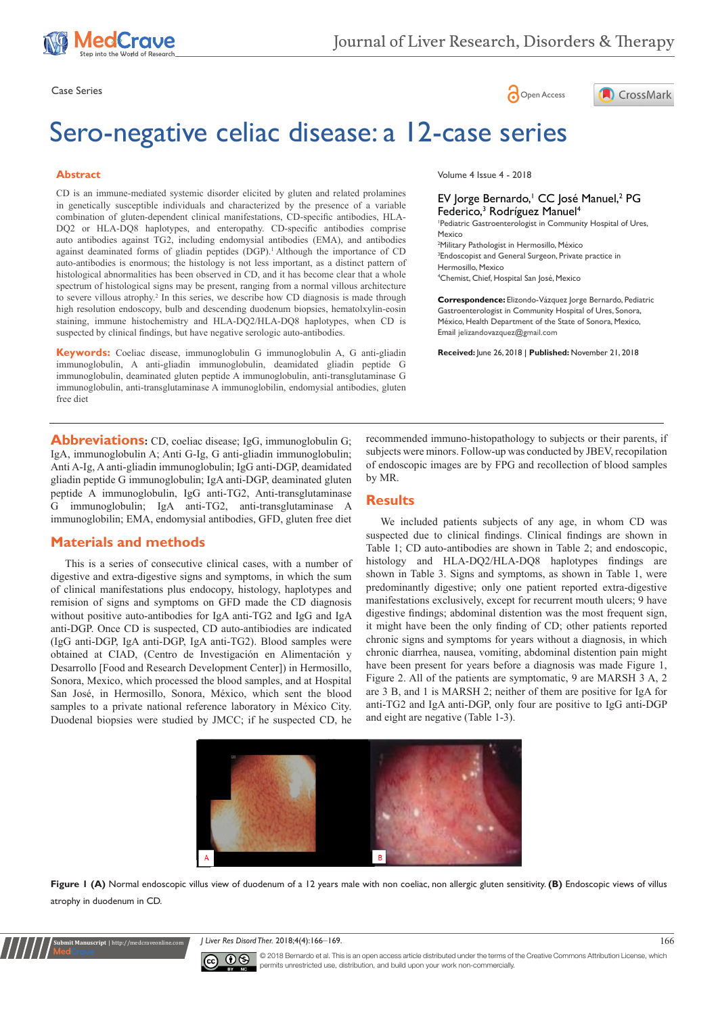





# Sero-negative celiac disease: a 12-case series

#### **Abstract**

CD is an immune-mediated systemic disorder elicited by gluten and related prolamines in genetically susceptible individuals and characterized by the presence of a variable combination of gluten-dependent clinical manifestations, CD-specific antibodies, HLA-DQ2 or HLA-DQ8 haplotypes, and enteropathy. CD-specific antibodies comprise auto antibodies against TG2, including endomysial antibodies (EMA), and antibodies against deaminated forms of gliadin peptides (DGP).<sup>1</sup> Although the importance of CD auto-antibodies is enormous; the histology is not less important, as a distinct pattern of histological abnormalities has been observed in CD, and it has become clear that a whole spectrum of histological signs may be present, ranging from a normal villous architecture to severe villous atrophy.<sup>2</sup> In this series, we describe how CD diagnosis is made through high resolution endoscopy, bulb and descending duodenum biopsies, hematolxylin-eosin staining, immune histochemistry and HLA-DQ2/HLA-DQ8 haplotypes, when CD is suspected by clinical findings, but have negative serologic auto-antibodies.

**Keywords:** Coeliac disease, immunoglobulin G immunoglobulin A, G anti-gliadin immunoglobulin, A anti-gliadin immunoglobulin, deamidated gliadin peptide G immunoglobulin, deaminated gluten peptide A immunoglobulin, anti-transglutaminase G immunoglobulin, anti-transglutaminase A immunoglobilin, endomysial antibodies, gluten free diet

Volume 4 Issue 4 - 2018

#### EV Jorge Bernardo,<sup>1</sup> CC José Manuel,<sup>2</sup> PG Federico,<sup>3</sup> Rodríguez Manuel<sup>4</sup>

1 Pediatric Gastroenterologist in Community Hospital of Ures, Mexico

 Military Pathologist in Hermosillo, México Endoscopist and General Surgeon, Private practice in Hermosillo, Mexico Chemist, Chief, Hospital San José, Mexico

**Correspondence:** Elizondo-Vázquez Jorge Bernardo, Pediatric Gastroenterologist in Community Hospital of Ures, Sonora, México, Health Department of the State of Sonora, Mexico, Email jelizandovazquez@gmail.com

**Received:** June 26, 2018 | **Published:** November 21, 2018

**Abbreviations:** CD, coeliac disease; IgG, immunoglobulin G; IgA, immunoglobulin A; Anti G-Ig, G anti-gliadin immunoglobulin; Anti A-Ig, A anti-gliadin immunoglobulin; IgG anti-DGP, deamidated gliadin peptide G immunoglobulin; IgA anti-DGP, deaminated gluten peptide A immunoglobulin, IgG anti-TG2, Anti-transglutaminase G immunoglobulin; IgA anti-TG2, anti-transglutaminase A immunoglobilin; EMA, endomysial antibodies, GFD, gluten free diet

## **Materials and methods**

**Submit Manuscript** | http://medcraveonline.com

This is a series of consecutive clinical cases, with a number of digestive and extra-digestive signs and symptoms, in which the sum of clinical manifestations plus endocopy, histology, haplotypes and remision of signs and symptoms on GFD made the CD diagnosis without positive auto-antibodies for IgA anti-TG2 and IgG and IgA anti-DGP. Once CD is suspected, CD auto-antibiodies are indicated (IgG anti-DGP, IgA anti-DGP, IgA anti-TG2). Blood samples were obtained at CIAD, (Centro de Investigación en Alimentación y Desarrollo [Food and Research Development Center]) in Hermosillo, Sonora, Mexico, which processed the blood samples, and at Hospital San José, in Hermosillo, Sonora, México, which sent the blood samples to a private national reference laboratory in México City. Duodenal biopsies were studied by JMCC; if he suspected CD, he recommended immuno-histopathology to subjects or their parents, if subjects were minors. Follow-up was conducted by JBEV, recopilation of endoscopic images are by FPG and recollection of blood samples by MR.

### **Results**

We included patients subjects of any age, in whom CD was suspected due to clinical findings. Clinical findings are shown in Table 1; CD auto-antibodies are shown in Table 2; and endoscopic, histology and HLA-DQ2/HLA-DQ8 haplotypes findings are shown in Table 3. Signs and symptoms, as shown in Table 1, were predominantly digestive; only one patient reported extra-digestive manifestations exclusively, except for recurrent mouth ulcers; 9 have digestive findings; abdominal distention was the most frequent sign, it might have been the only finding of CD; other patients reported chronic signs and symptoms for years without a diagnosis, in which chronic diarrhea, nausea, vomiting, abdominal distention pain might have been present for years before a diagnosis was made Figure 1, Figure 2. All of the patients are symptomatic, 9 are MARSH 3 A, 2 are 3 B, and 1 is MARSH 2; neither of them are positive for IgA for anti-TG2 and IgA anti-DGP, only four are positive to IgG anti-DGP and eight are negative (Table 1-3).



Figure 1 (A) Normal endoscopic villus view of duodenum of a 12 years male with non coeliac, non allergic gluten sensitivity. (B) Endoscopic views of villus atrophy in duodenum in CD.

*J* Liver Res Disord Ther. 2018;4(4):166–169. 166 and 166 and 166 and 166 and 166 and 166 and 166 and 166 and 166



© 2018 Bernardo et al. This is an open access article distributed under the terms of the [Creative Commons Attribution License,](https://creativecommons.org/licenses/by-nc/4.0/) which permits unrestricted use, distribution, and build upon your work non-commercially.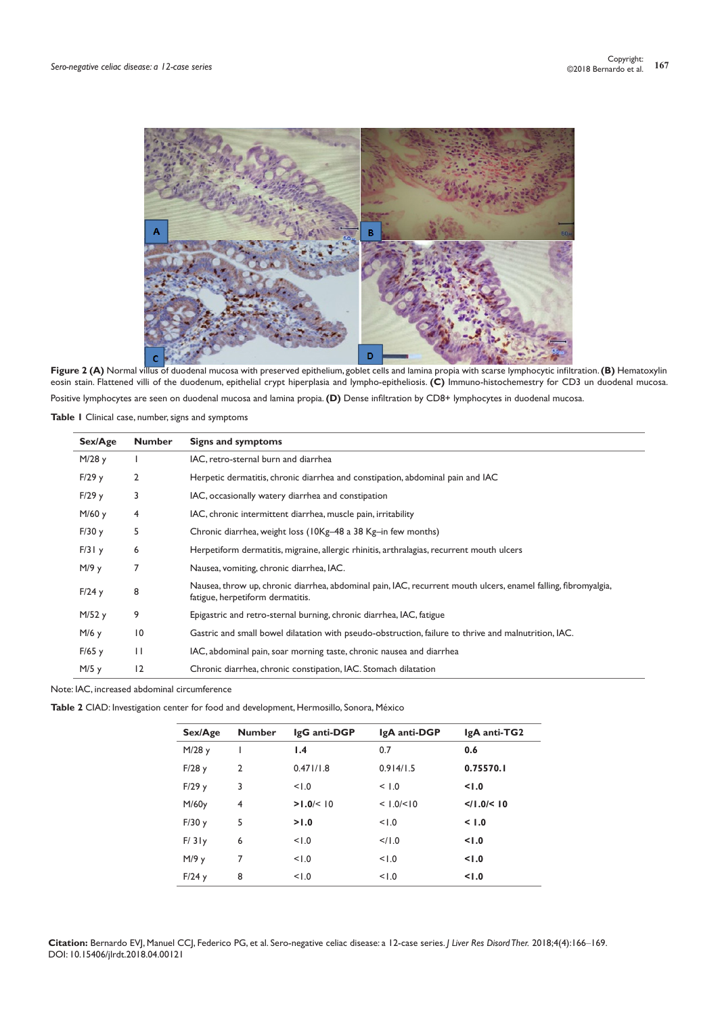

**Figure 2 (A)** Normal villus of duodenal mucosa with preserved epithelium, goblet cells and lamina propia with scarse lymphocytic infiltration. **(B)** Hematoxylin eosin stain. Flattened villi of the duodenum, epithelial crypt hiperplasia and lympho-epitheliosis. **(C)** Immuno-histochemestry for CD3 un duodenal mucosa. Positive lymphocytes are seen on duodenal mucosa and lamina propia. **(D)** Dense infiltration by CD8+ lymphocytes in duodenal mucosa.

**Table 1** Clinical case, number, signs and symptoms

| Sex/Age | <b>Number</b>   | Signs and symptoms                                                                                                                                 |
|---------|-----------------|----------------------------------------------------------------------------------------------------------------------------------------------------|
| M/28y   |                 | IAC, retro-sternal burn and diarrhea                                                                                                               |
| F/29y   | 2               | Herpetic dermatitis, chronic diarrhea and constipation, abdominal pain and IAC                                                                     |
| F/29y   | 3               | IAC, occasionally watery diarrhea and constipation                                                                                                 |
| M/60 y  | 4               | IAC, chronic intermittent diarrhea, muscle pain, irritability                                                                                      |
| F/30y   | 5               | Chronic diarrhea, weight loss (10Kg-48 a 38 Kg-in few months)                                                                                      |
| F/31y   | 6               | Herpetiform dermatitis, migraine, allergic rhinitis, arthralagias, recurrent mouth ulcers                                                          |
| M/9y    | 7               | Nausea, vomiting, chronic diarrhea, IAC.                                                                                                           |
| F/24y   | 8               | Nausea, throw up, chronic diarrhea, abdominal pain, IAC, recurrent mouth ulcers, enamel falling, fibromyalgia,<br>fatigue, herpetiform dermatitis. |
| M/52y   | 9               | Epigastric and retro-sternal burning, chronic diarrhea, IAC, fatigue                                                                               |
| M/6 y   | $\overline{10}$ | Gastric and small bowel dilatation with pseudo-obstruction, failure to thrive and malnutrition, IAC.                                               |
| F/65y   | $\mathbf{H}$    | IAC, abdominal pain, soar morning taste, chronic nausea and diarrhea                                                                               |
| M/5y    | 2               | Chronic diarrhea, chronic constipation, IAC. Stomach dilatation                                                                                    |

Note: IAC, increased abdominal circumference

**Table 2** CIAD: Investigation center for food and development, Hermosillo, Sonora, México

| Sex/Age | <b>Number</b>  | IgG anti-DGP | IgA anti-DGP        | IgA anti-TG2 |
|---------|----------------|--------------|---------------------|--------------|
| M/28 y  |                | 1.4          | 0.7                 | 0.6          |
| F/28y   | $\mathfrak{p}$ | 0.471/1.8    | 0.914/1.5           | 0.75570.1    |
| F/29y   | 3              | 1.0          | < 1.0               | 1.0          |
| M/60y   | 4              | >1.0/10      | < 1.0 / < 10        | $<$ /1.0/<10 |
| F/30y   | 5              | >1.0         | 1.0                 | < 1.0        |
| F/31y   | 6              | 1.0          | $<$ / $\frac{1}{0}$ | 1.0          |
| M/9y    | 7              | 1.0          | 1.0                 | 1.0          |
| F/24y   | 8              | 1.0          | 1.0                 | 1.0          |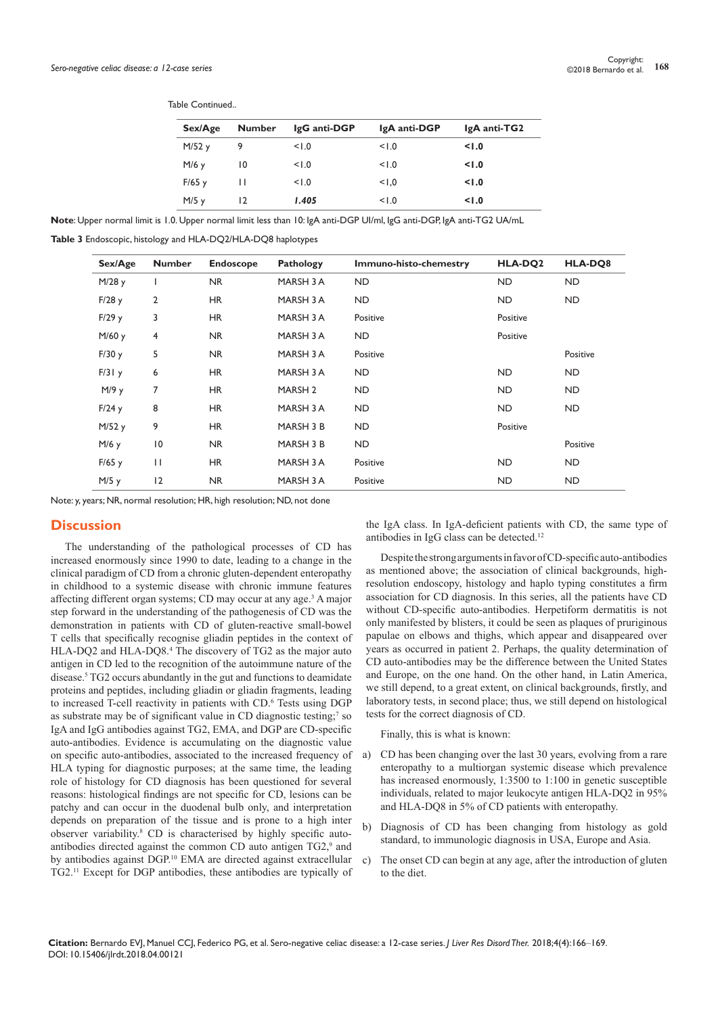| Sex/Age |    | IgG anti-DGP  | IgA anti-DGP | IgA anti-TG2 |
|---------|----|---------------|--------------|--------------|
| M/52y   | 9  | 1.0           | 1.0          | 1.0          |
| M/6y    | 10 | 1.0           | 1.0          | 1.0          |
| F/65y   | Н  | 1.0           | 1.0          | 1.0          |
| $M/5$ y | 12 | 1.405         | 1.0          | 1.0          |
|         |    | <b>Number</b> |              |              |

**Note**: Upper normal limit is 1.0. Upper normal limit less than 10: IgA anti-DGP UI/ml, IgG anti-DGP, IgA anti-TG2 UA/mL

**Table 3** Endoscopic, histology and HLA-DQ2/HLA-DQ8 haplotypes

Table Continued..

| Sex/Age | <b>Number</b>  | Endoscope | <b>Pathology</b>   | Immuno-histo-chemestry | HLA-DQ2   | HLA-DO8   |
|---------|----------------|-----------|--------------------|------------------------|-----------|-----------|
| M/28 y  | ı              | <b>NR</b> | MARSH 3 A          | <b>ND</b>              | <b>ND</b> | <b>ND</b> |
| F/28y   | 2              | <b>HR</b> | MARSH 3 A          | ND.                    | <b>ND</b> | ND.       |
| F/29y   | 3              | <b>HR</b> | MARSH 3 A          | Positive               | Positive  |           |
| M/60 y  | 4              | <b>NR</b> | MARSH 3 A          | <b>ND</b>              | Positive  |           |
| F/30y   | 5              | <b>NR</b> | MARSH 3 A          | Positive               |           | Positive  |
| F/31y   | 6              | <b>HR</b> | MARSH 3 A          | ND.                    | ND.       | ND.       |
| M/9y    | 7              | <b>HR</b> | MARSH <sub>2</sub> | ND.                    | ND.       | ND        |
| F/24y   | 8              | <b>HR</b> | MARSH 3 A          | <b>ND</b>              | <b>ND</b> | ND.       |
| M/52y   | 9              | <b>HR</b> | MARSH 3 B          | <b>ND</b>              | Positive  |           |
| $M/6$ y | $\overline{0}$ | <b>NR</b> | MARSH 3 B          | ND.                    |           | Positive  |
| F/65y   | $\mathbf{H}$   | <b>HR</b> | MARSH 3 A          | Positive               | <b>ND</b> | ND        |
| M/5y    | 12             | <b>NR</b> | MARSH 3 A          | Positive               | <b>ND</b> | ND        |

Note: y, years; NR, normal resolution; HR, high resolution; ND, not done

#### **Discussion**

The understanding of the pathological processes of CD has increased enormously since 1990 to date, leading to a change in the clinical paradigm of CD from a chronic gluten-dependent enteropathy in childhood to a systemic disease with chronic immune features affecting different organ systems; CD may occur at any age.3 A major step forward in the understanding of the pathogenesis of CD was the demonstration in patients with CD of gluten-reactive small-bowel T cells that specifically recognise gliadin peptides in the context of HLA-DQ2 and HLA-DQ8.<sup>4</sup> The discovery of TG2 as the major auto antigen in CD led to the recognition of the autoimmune nature of the disease.5 TG2 occurs abundantly in the gut and functions to deamidate proteins and peptides, including gliadin or gliadin fragments, leading to increased T-cell reactivity in patients with CD.6 Tests using DGP as substrate may be of significant value in CD diagnostic testing;<sup>7</sup> so IgA and IgG antibodies against TG2, EMA, and DGP are CD-specific auto-antibodies. Evidence is accumulating on the diagnostic value on specific auto-antibodies, associated to the increased frequency of HLA typing for diagnostic purposes; at the same time, the leading role of histology for CD diagnosis has been questioned for several reasons: histological findings are not specific for CD, lesions can be patchy and can occur in the duodenal bulb only, and interpretation depends on preparation of the tissue and is prone to a high inter observer variability.8 CD is characterised by highly specific autoantibodies directed against the common CD auto antigen TG2,<sup>9</sup> and by antibodies against DGP.10 EMA are directed against extracellular TG2.11 Except for DGP antibodies, these antibodies are typically of

the IgA class. In IgA-deficient patients with CD, the same type of antibodies in IgG class can be detected.12

Despite the strong arguments in favor of CD-specific auto-antibodies as mentioned above; the association of clinical backgrounds, highresolution endoscopy, histology and haplo typing constitutes a firm association for CD diagnosis. In this series, all the patients have CD without CD-specific auto-antibodies. Herpetiform dermatitis is not only manifested by blisters, it could be seen as plaques of pruriginous papulae on elbows and thighs, which appear and disappeared over years as occurred in patient 2. Perhaps, the quality determination of CD auto-antibodies may be the difference between the United States and Europe, on the one hand. On the other hand, in Latin America, we still depend, to a great extent, on clinical backgrounds, firstly, and laboratory tests, in second place; thus, we still depend on histological tests for the correct diagnosis of CD.

Finally, this is what is known:

- a) CD has been changing over the last 30 years, evolving from a rare enteropathy to a multiorgan systemic disease which prevalence has increased enormously, 1:3500 to 1:100 in genetic susceptible individuals, related to major leukocyte antigen HLA-DQ2 in 95% and HLA-DQ8 in 5% of CD patients with enteropathy.
- b) Diagnosis of CD has been changing from histology as gold standard, to immunologic diagnosis in USA, Europe and Asia.
- c) The onset CD can begin at any age, after the introduction of gluten to the diet.